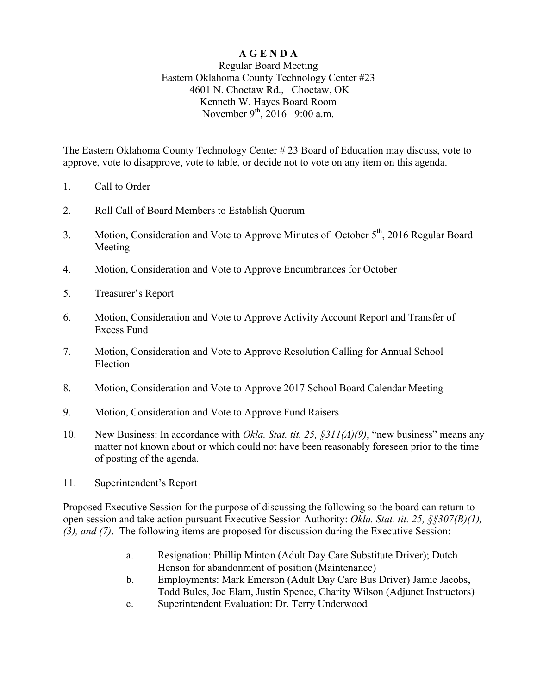## **A G E N D A**

## Regular Board Meeting Eastern Oklahoma County Technology Center #23 4601 N. Choctaw Rd., Choctaw, OK Kenneth W. Hayes Board Room November  $9^{th}$ , 2016 9:00 a.m.

The Eastern Oklahoma County Technology Center # 23 Board of Education may discuss, vote to approve, vote to disapprove, vote to table, or decide not to vote on any item on this agenda.

- 1. Call to Order
- 2. Roll Call of Board Members to Establish Quorum
- 3. Motion, Consideration and Vote to Approve Minutes of October 5<sup>th</sup>, 2016 Regular Board Meeting
- 4. Motion, Consideration and Vote to Approve Encumbrances for October
- 5. Treasurer's Report
- 6. Motion, Consideration and Vote to Approve Activity Account Report and Transfer of Excess Fund
- 7. Motion, Consideration and Vote to Approve Resolution Calling for Annual School Election
- 8. Motion, Consideration and Vote to Approve 2017 School Board Calendar Meeting
- 9. Motion, Consideration and Vote to Approve Fund Raisers
- 10. New Business: In accordance with *Okla. Stat. tit. 25, §311(A)(9)*, "new business" means any matter not known about or which could not have been reasonably foreseen prior to the time of posting of the agenda.
- 11. Superintendent's Report

Proposed Executive Session for the purpose of discussing the following so the board can return to open session and take action pursuant Executive Session Authority: *Okla. Stat. tit. 25, §§307(B)(1), (3), and (7)*. The following items are proposed for discussion during the Executive Session:

- a. Resignation: Phillip Minton (Adult Day Care Substitute Driver); Dutch Henson for abandonment of position (Maintenance)
- b. Employments: Mark Emerson (Adult Day Care Bus Driver) Jamie Jacobs, Todd Bules, Joe Elam, Justin Spence, Charity Wilson (Adjunct Instructors)
- c. Superintendent Evaluation: Dr. Terry Underwood